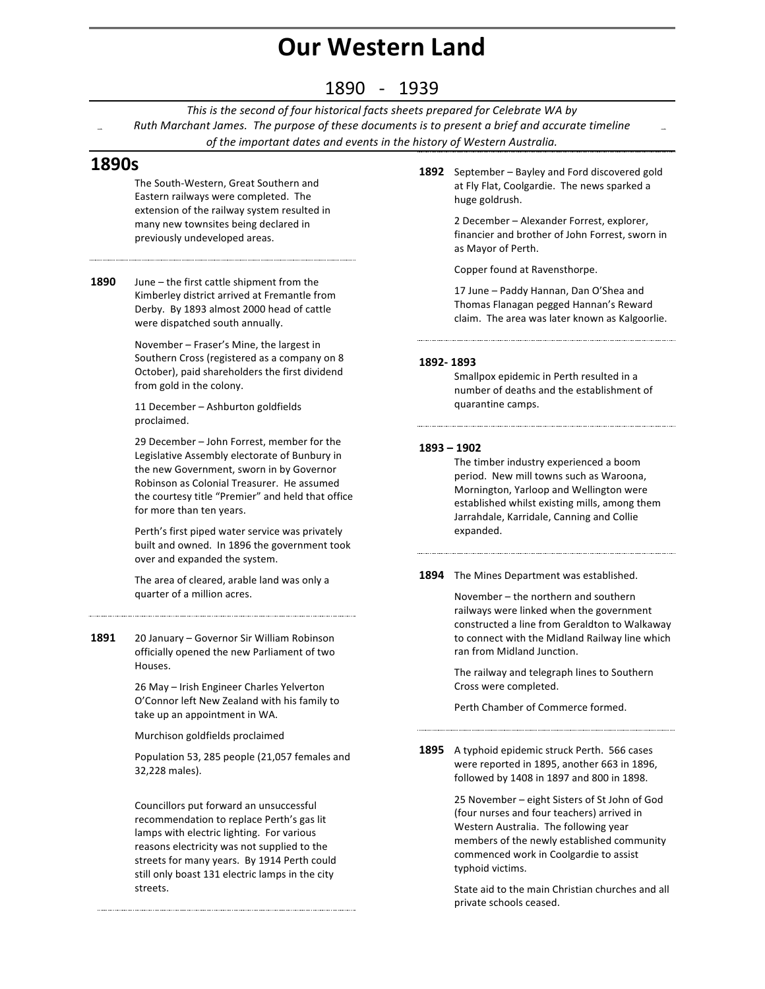# **Our Western Land**

### 1890 - 1939

This is the second of four historical facts sheets prepared for Celebrate WA by *Ruth Marchant James. The purpose of these documents is to present a brief and accurate timeline* of the important dates and events in the history of Western Australia.

### **1890s**

The South-Western, Great Southern and Eastern railways were completed. The extension of the railway system resulted in many new townsites being declared in previously undeveloped areas.

**1890** June – the first cattle shipment from the

Kimberley district arrived at Fremantle from Derby. By 1893 almost 2000 head of cattle were dispatched south annually.

November - Fraser's Mine, the largest in Southern Cross (registered as a company on 8 October), paid shareholders the first dividend from gold in the colony.

11 December - Ashburton goldfields proclaimed.

29 December - John Forrest, member for the Legislative Assembly electorate of Bunbury in the new Government, sworn in by Governor Robinson as Colonial Treasurer. He assumed the courtesy title "Premier" and held that office for more than ten years.

Perth's first piped water service was privately built and owned. In 1896 the government took over and expanded the system.

The area of cleared, arable land was only a quarter of a million acres.

1891 20 January – Governor Sir William Robinson officially opened the new Parliament of two Houses.

> 26 May - Irish Engineer Charles Yelverton O'Connor left New Zealand with his family to take up an appointment in WA.

Murchison goldfields proclaimed

Population 53, 285 people (21,057 females and 32,228 males).

Councillors put forward an unsuccessful recommendation to replace Perth's gas lit lamps with electric lighting. For various reasons electricity was not supplied to the streets for many years. By 1914 Perth could still only boast 131 electric lamps in the city streets.

**1892** September – Bayley and Ford discovered gold at Fly Flat, Coolgardie. The news sparked a huge goldrush.

> 2 December - Alexander Forrest, explorer, financier and brother of John Forrest, sworn in as Mayor of Perth.

Copper found at Ravensthorpe.

17 June - Paddy Hannan, Dan O'Shea and Thomas Flanagan pegged Hannan's Reward claim. The area was later known as Kalgoorlie.

#### **1892- 1893**

Smallpox epidemic in Perth resulted in a number of deaths and the establishment of quarantine camps.

#### **1893 – 1902**

The timber industry experienced a boom period. New mill towns such as Waroona, Mornington, Yarloop and Wellington were established whilst existing mills, among them Jarrahdale, Karridale, Canning and Collie expanded.

**1894** The Mines Department was established.

November  $-$  the northern and southern railways were linked when the government constructed a line from Geraldton to Walkaway to connect with the Midland Railway line which ran from Midland Junction.

The railway and telegraph lines to Southern Cross were completed.

Perth Chamber of Commerce formed.

**1895** A typhoid epidemic struck Perth. 566 cases were reported in 1895, another 663 in 1896,

followed by 1408 in 1897 and 800 in 1898.

25 November – eight Sisters of St John of God (four nurses and four teachers) arrived in Western Australia. The following year members of the newly established community commenced work in Coolgardie to assist typhoid victims.

State aid to the main Christian churches and all private schools ceased.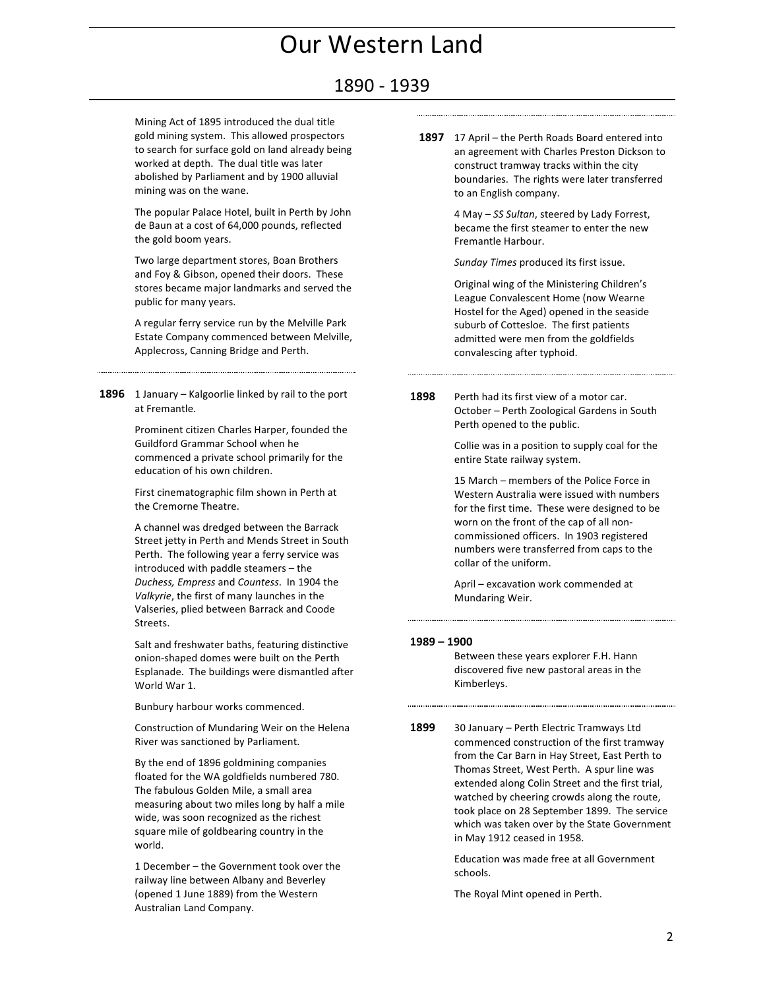### 1890 - 1939

Mining Act of 1895 introduced the dual title gold mining system. This allowed prospectors to search for surface gold on land already being worked at depth. The dual title was later abolished by Parliament and by 1900 alluvial mining was on the wane.

The popular Palace Hotel, built in Perth by John de Baun at a cost of 64,000 pounds, reflected the gold boom years.

Two large department stores, Boan Brothers and Foy & Gibson, opened their doors. These stores became major landmarks and served the public for many years.

A regular ferry service run by the Melville Park Estate Company commenced between Melville, Applecross, Canning Bridge and Perth.

**1896** 1 January – Kalgoorlie linked by rail to the port at Fremantle.

> Prominent citizen Charles Harper, founded the Guildford Grammar School when he commenced a private school primarily for the education of his own children.

First cinematographic film shown in Perth at the Cremorne Theatre.

A channel was dredged between the Barrack Street jetty in Perth and Mends Street in South Perth. The following year a ferry service was introduced with paddle steamers - the *Duchess, Empress* and *Countess*. In 1904 the *Valkyrie*, the first of many launches in the Valseries, plied between Barrack and Coode **Streets** 

Salt and freshwater baths, featuring distinctive onion-shaped domes were built on the Perth Esplanade. The buildings were dismantled after World War 1.

Bunbury harbour works commenced.

Construction of Mundaring Weir on the Helena River was sanctioned by Parliament.

By the end of 1896 goldmining companies floated for the WA goldfields numbered 780. The fabulous Golden Mile, a small area measuring about two miles long by half a mile wide, was soon recognized as the richest square mile of goldbearing country in the world.

1 December - the Government took over the railway line between Albany and Beverley (opened 1 June 1889) from the Western Australian Land Company.

**1897** 17 April – the Perth Roads Board entered into an agreement with Charles Preston Dickson to construct tramway tracks within the city boundaries. The rights were later transferred to an English company.

> 4 May – SS Sultan, steered by Lady Forrest, became the first steamer to enter the new Fremantle Harbour.

Sunday Times produced its first issue.

Original wing of the Ministering Children's League Convalescent Home (now Wearne Hostel for the Aged) opened in the seaside suburb of Cottesloe. The first patients admitted were men from the goldfields convalescing after typhoid.

**1898** Perth had its first view of a motor car. October - Perth Zoological Gardens in South Perth opened to the public.

Collie was in a position to supply coal for the entire State railway system.

15 March – members of the Police Force in Western Australia were issued with numbers for the first time. These were designed to be worn on the front of the cap of all noncommissioned officers. In 1903 registered numbers were transferred from caps to the collar of the uniform.

April – excavation work commended at Mundaring Weir.

#### **1989 – 1900**

Between these years explorer F.H. Hann discovered five new pastoral areas in the Kimberleys.

1899 30 January - Perth Electric Tramways Ltd commenced construction of the first tramway from the Car Barn in Hay Street, East Perth to Thomas Street, West Perth. A spur line was extended along Colin Street and the first trial, watched by cheering crowds along the route, took place on 28 September 1899. The service which was taken over by the State Government in May 1912 ceased in 1958.

> Education was made free at all Government schools.

The Royal Mint opened in Perth.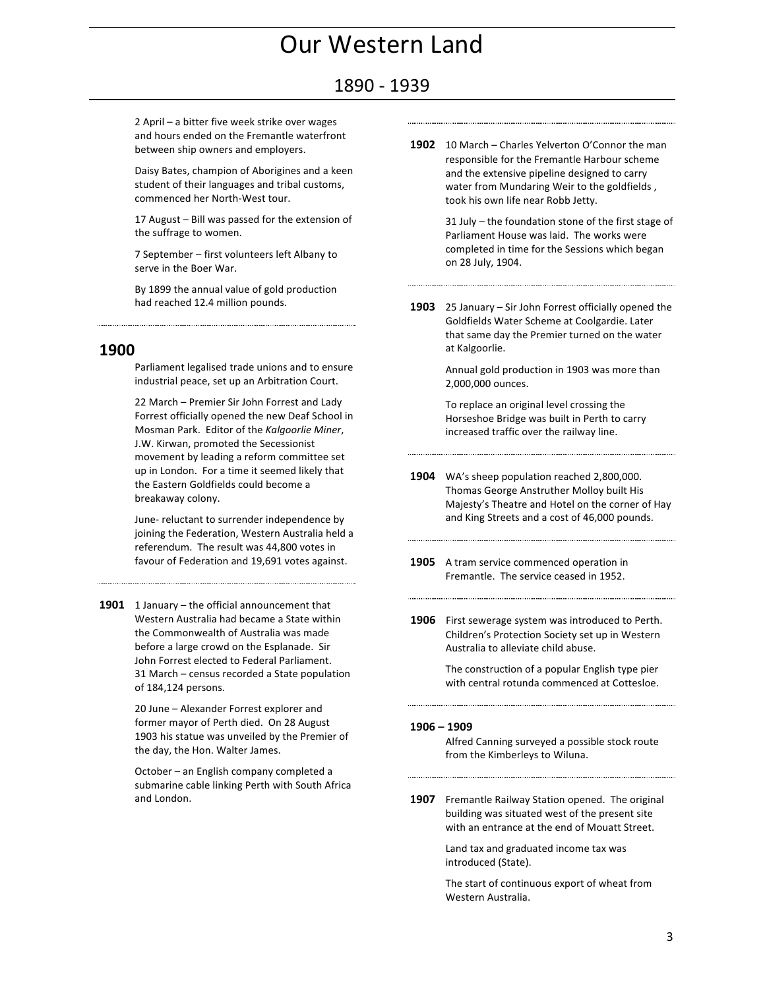### 1890 - 1939

2 April – a bitter five week strike over wages and hours ended on the Fremantle waterfront between ship owners and employers.

Daisy Bates, champion of Aborigines and a keen student of their languages and tribal customs, commenced her North-West tour.

17 August - Bill was passed for the extension of the suffrage to women.

7 September – first volunteers left Albany to serve in the Boer War.

By 1899 the annual value of gold production had reached 12.4 million pounds.

#### **1900**

Parliament legalised trade unions and to ensure industrial peace, set up an Arbitration Court.

22 March – Premier Sir John Forrest and Lady Forrest officially opened the new Deaf School in Mosman Park. Editor of the *Kalgoorlie Miner*, J.W. Kirwan, promoted the Secessionist movement by leading a reform committee set up in London. For a time it seemed likely that the Eastern Goldfields could become a breakaway colony.

June- reluctant to surrender independence by joining the Federation, Western Australia held a referendum. The result was 44,800 votes in favour of Federation and 19,691 votes against.

**1901** 1 January – the official announcement that Western Australia had became a State within the Commonwealth of Australia was made before a large crowd on the Esplanade. Sir John Forrest elected to Federal Parliament. 31 March – census recorded a State population of 184,124 persons.

> 20 June - Alexander Forrest explorer and former mayor of Perth died. On 28 August 1903 his statue was unveiled by the Premier of the day, the Hon. Walter James.

> October – an English company completed a submarine cable linking Perth with South Africa and London.

**1902** 10 March – Charles Yelverton O'Connor the man responsible for the Fremantle Harbour scheme and the extensive pipeline designed to carry water from Mundaring Weir to the goldfields, took his own life near Robb Jetty.

> $31$  July – the foundation stone of the first stage of Parliament House was laid. The works were completed in time for the Sessions which began on 28 July, 1904.

**1903** 25 January – Sir John Forrest officially opened the Goldfields Water Scheme at Coolgardie. Later that same day the Premier turned on the water at Kalgoorlie.

> Annual gold production in 1903 was more than 2,000,000 ounces.

To replace an original level crossing the Horseshoe Bridge was built in Perth to carry increased traffic over the railway line.

**1904** WA's sheep population reached 2,800,000. Thomas George Anstruther Molloy built His Majesty's Theatre and Hotel on the corner of Hay and King Streets and a cost of 46,000 pounds.

- **1905** A tram service commenced operation in Fremantle. The service ceased in 1952.
- **1906** First sewerage system was introduced to Perth. Children's Protection Society set up in Western Australia to alleviate child abuse.

The construction of a popular English type pier with central rotunda commenced at Cottesloe.

#### **1906 – 1909**

Alfred Canning surveyed a possible stock route from the Kimberleys to Wiluna.

**1907** Fremantle Railway Station opened. The original building was situated west of the present site with an entrance at the end of Mouatt Street.

> Land tax and graduated income tax was introduced (State).

The start of continuous export of wheat from Western Australia.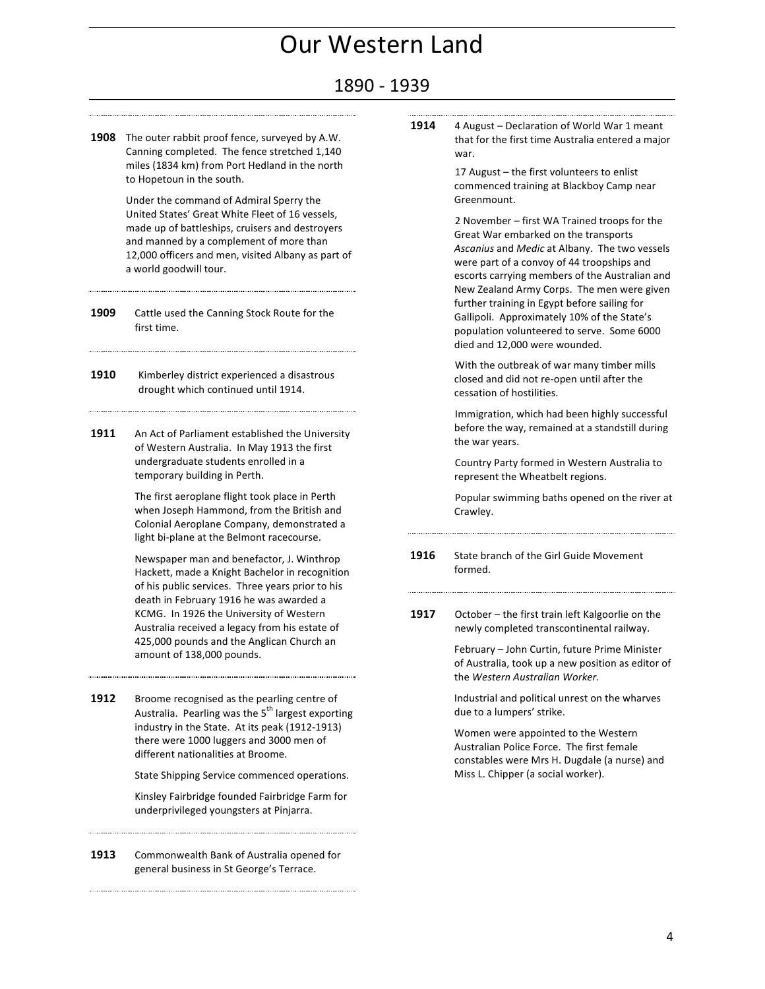### 1890 - 1939

**1908** The outer rabbit proof fence, surveyed by A.W. Canning completed. The fence stretched 1,140 miles (1834 km) from Port Hedland in the north to Hopetoun in the south.

> Under the command of Admiral Sperry the United States' Great White Fleet of 16 vessels, made up of battleships, cruisers and destroyers and manned by a complement of more than 12,000 officers and men, visited Albany as part of a world goodwill tour.

- **1909** Cattle used the Canning Stock Route for the first time.
- **1910** Kimberley district experienced a disastrous drought which continued until 1914.
- **1911** An Act of Parliament established the University of Western Australia. In May 1913 the first undergraduate students enrolled in a temporary building in Perth.

The first aeroplane flight took place in Perth when Joseph Hammond, from the British and Colonial Aeroplane Company, demonstrated a light bi-plane at the Belmont racecourse.

Newspaper man and benefactor, J. Winthrop Hackett, made a Knight Bachelor in recognition of his public services. Three years prior to his death in February 1916 he was awarded a KCMG. In 1926 the University of Western Australia received a legacy from his estate of 425,000 pounds and the Anglican Church an amount of 138,000 pounds.

**1912** Broome recognised as the pearling centre of Australia. Pearling was the 5<sup>th</sup> largest exporting industry in the State. At its peak (1912-1913) there were 1000 luggers and 3000 men of different nationalities at Broome.

State Shipping Service commenced operations.

Kinsley Fairbridge founded Fairbridge Farm for underprivileged youngsters at Pinjarra.

**1913** Commonwealth Bank of Australia opened for general business in St George's Terrace.

**1914** 4 August – Declaration of World War 1 meant that for the first time Australia entered a major war.

> 17 August - the first volunteers to enlist commenced training at Blackboy Camp near Greenmount.

2 November – first WA Trained troops for the Great War embarked on the transports Ascanius and *Medic* at Albany. The two vessels were part of a convoy of 44 troopships and escorts carrying members of the Australian and New Zealand Army Corps. The men were given further training in Egypt before sailing for Gallipoli. Approximately 10% of the State's population volunteered to serve. Some 6000 died and 12,000 were wounded.

With the outbreak of war many timber mills closed and did not re-open until after the cessation of hostilities.

Immigration, which had been highly successful before the way, remained at a standstill during the war years.

Country Party formed in Western Australia to represent the Wheatbelt regions.

Popular swimming baths opened on the river at Crawley.

**1916** State branch of the Girl Guide Movement formed.

**1917** October – the first train left Kalgoorlie on the newly completed transcontinental railway.

> February - John Curtin, future Prime Minister of Australia, took up a new position as editor of the *Western Australian Worker.*

Industrial and political unrest on the wharves due to a lumpers' strike.

Women were appointed to the Western Australian Police Force. The first female constables were Mrs H. Dugdale (a nurse) and Miss L. Chipper (a social worker).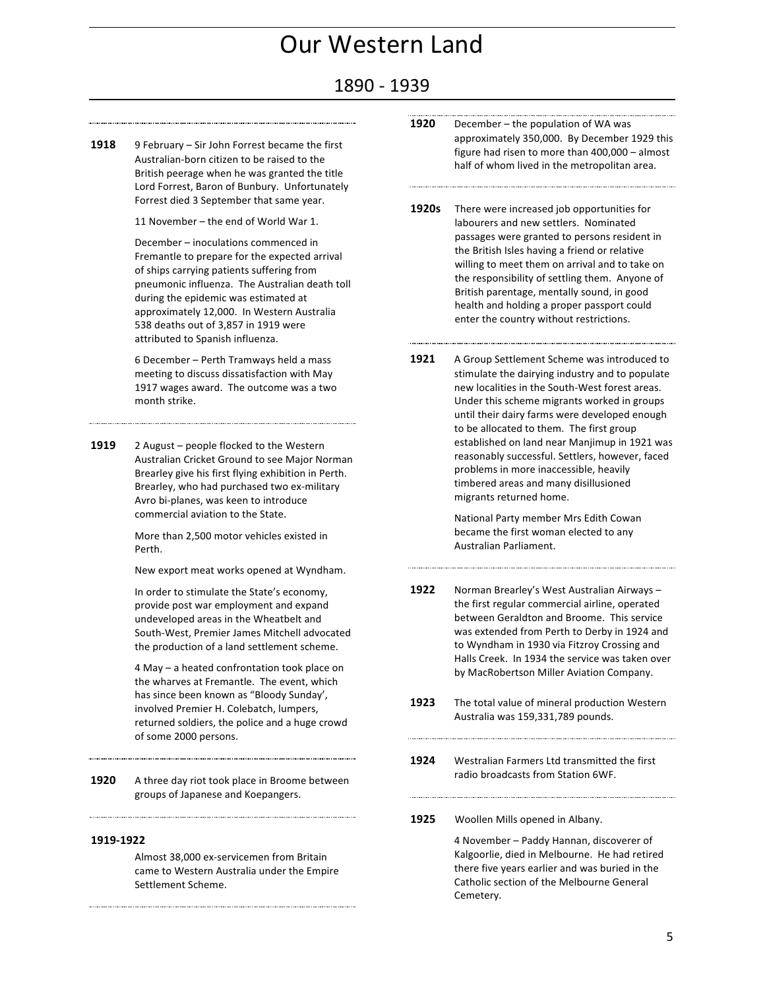### 1890 - 1939

**1918** 9 February – Sir John Forrest became the first Australian-born citizen to be raised to the British peerage when he was granted the title Lord Forrest, Baron of Bunbury. Unfortunately Forrest died 3 September that same year.

11 November – the end of World War 1.

December - inoculations commenced in Fremantle to prepare for the expected arrival of ships carrying patients suffering from pneumonic influenza. The Australian death toll during the epidemic was estimated at approximately 12,000. In Western Australia 538 deaths out of 3,857 in 1919 were attributed to Spanish influenza.

6 December – Perth Tramways held a mass meeting to discuss dissatisfaction with May 1917 wages award. The outcome was a two month strike.

1919 2 August – people flocked to the Western Australian Cricket Ground to see Major Norman Brearley give his first flying exhibition in Perth. Brearley, who had purchased two ex-military Avro bi-planes, was keen to introduce commercial aviation to the State.

> More than 2,500 motor vehicles existed in Perth.

New export meat works opened at Wyndham.

In order to stimulate the State's economy, provide post war employment and expand undeveloped areas in the Wheatbelt and South-West, Premier James Mitchell advocated the production of a land settlement scheme.

4 May – a heated confrontation took place on the wharves at Fremantle. The event, which has since been known as "Bloody Sunday', involved Premier H. Colebatch, lumpers, returned soldiers, the police and a huge crowd of some 2000 persons.

**1920** A three day riot took place in Broome between groups of Japanese and Koepangers.

#### **1919-1922**

Almost 38,000 ex-servicemen from Britain came to Western Australia under the Empire Settlement Scheme

- **1920** December the population of WA was approximately 350,000. By December 1929 this figure had risen to more than  $400,000 -$  almost half of whom lived in the metropolitan area.
- **1920s** There were increased job opportunities for labourers and new settlers. Nominated passages were granted to persons resident in the British Isles having a friend or relative willing to meet them on arrival and to take on the responsibility of settling them. Anyone of British parentage, mentally sound, in good health and holding a proper passport could enter the country without restrictions.
- **1921** A Group Settlement Scheme was introduced to stimulate the dairying industry and to populate new localities in the South-West forest areas. Under this scheme migrants worked in groups until their dairy farms were developed enough to be allocated to them. The first group established on land near Manjimup in 1921 was reasonably successful. Settlers, however, faced problems in more inaccessible, heavily timbered areas and many disillusioned migrants returned home.

National Party member Mrs Edith Cowan became the first woman elected to any Australian Parliament.

- 1922 Norman Brearley's West Australian Airways the first regular commercial airline, operated between Geraldton and Broome. This service was extended from Perth to Derby in 1924 and to Wyndham in 1930 via Fitzroy Crossing and Halls Creek. In 1934 the service was taken over by MacRobertson Miller Aviation Company.
- **1923** The total value of mineral production Western Australia was 159,331,789 pounds.
- **1924** Westralian Farmers Ltd transmitted the first radio broadcasts from Station 6WF.
- 1925 Woollen Mills opened in Albany.

4 November – Paddy Hannan, discoverer of Kalgoorlie, died in Melbourne. He had retired there five years earlier and was buried in the Catholic section of the Melbourne General Cemetery.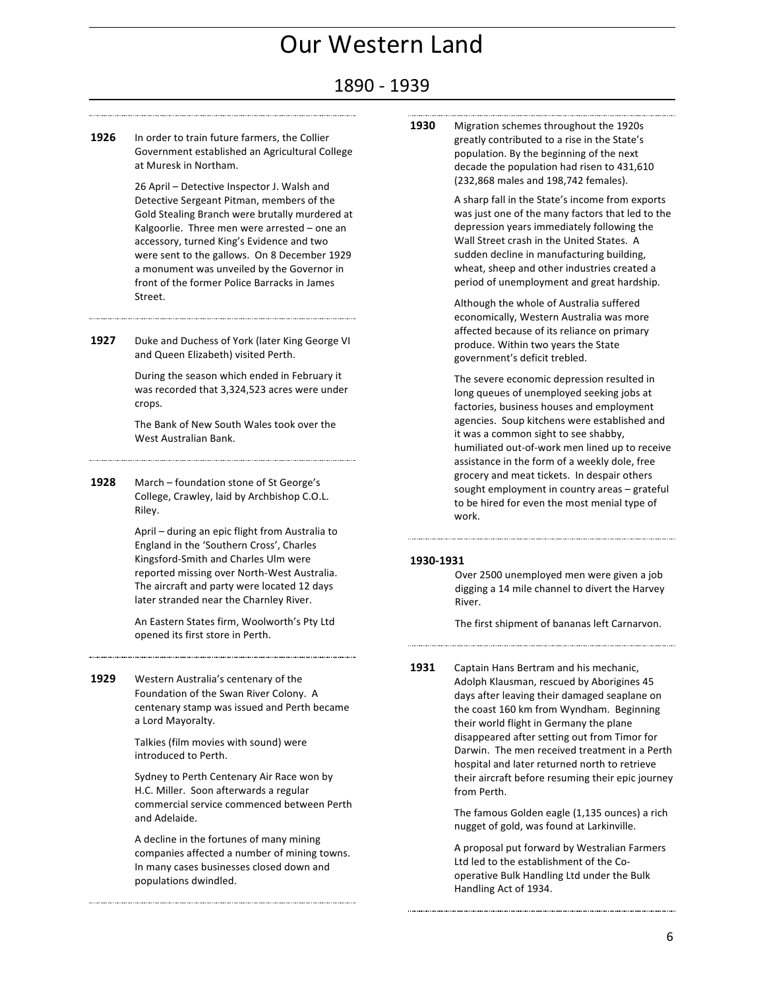### 1890 - 1939

**1926** In order to train future farmers, the Collier Government established an Agricultural College at Muresk in Northam.

> 26 April - Detective Inspector J. Walsh and Detective Sergeant Pitman, members of the Gold Stealing Branch were brutally murdered at Kalgoorlie. Three men were arrested - one an accessory, turned King's Evidence and two were sent to the gallows. On 8 December 1929 a monument was unveiled by the Governor in front of the former Police Barracks in James Street.

**1927** Duke and Duchess of York (later King George VI and Queen Elizabeth) visited Perth.

During the season which ended in February it was recorded that 3,324,523 acres were under crops.

The Bank of New South Wales took over the West Australian Bank.

**1928** March – foundation stone of St George's College, Crawley, laid by Archbishop C.O.L. Riley.

> April – during an epic flight from Australia to England in the 'Southern Cross', Charles Kingsford-Smith and Charles Ulm were reported missing over North-West Australia. The aircraft and party were located 12 days later stranded near the Charnley River.

An Eastern States firm, Woolworth's Pty Ltd opened its first store in Perth.

**1929** Western Australia's centenary of the Foundation of the Swan River Colony. A centenary stamp was issued and Perth became a Lord Mayoralty.

> Talkies (film movies with sound) were introduced to Perth.

Sydney to Perth Centenary Air Race won by H.C. Miller. Soon afterwards a regular commercial service commenced between Perth and Adelaide.

A decline in the fortunes of many mining companies affected a number of mining towns. In many cases businesses closed down and populations dwindled.

**1930** Migration schemes throughout the 1920s greatly contributed to a rise in the State's population. By the beginning of the next decade the population had risen to 431,610 (232,868 males and 198,742 females).

> A sharp fall in the State's income from exports was just one of the many factors that led to the depression years immediately following the Wall Street crash in the United States. A sudden decline in manufacturing building, wheat, sheep and other industries created a period of unemployment and great hardship.

Although the whole of Australia suffered economically, Western Australia was more affected because of its reliance on primary produce. Within two years the State government's deficit trebled.

The severe economic depression resulted in long queues of unemployed seeking jobs at factories, business houses and employment agencies. Soup kitchens were established and it was a common sight to see shabby, humiliated out-of-work men lined up to receive assistance in the form of a weekly dole, free grocery and meat tickets. In despair others sought employment in country areas - grateful to be hired for even the most menial type of work.

#### **1930-1931**

Over 2500 unemployed men were given a job digging a 14 mile channel to divert the Harvey River.

The first shipment of bananas left Carnarvon.

**1931** Captain Hans Bertram and his mechanic, Adolph Klausman, rescued by Aborigines 45 days after leaving their damaged seaplane on the coast 160 km from Wyndham. Beginning their world flight in Germany the plane disappeared after setting out from Timor for Darwin. The men received treatment in a Perth hospital and later returned north to retrieve their aircraft before resuming their epic journey from Perth.

> The famous Golden eagle (1,135 ounces) a rich nugget of gold, was found at Larkinville.

> A proposal put forward by Westralian Farmers Ltd led to the establishment of the Cooperative Bulk Handling Ltd under the Bulk Handling Act of 1934.